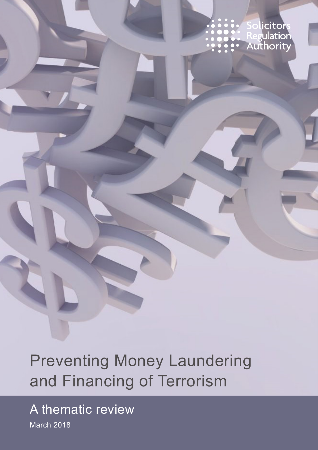icitors Regulation<br>Authority

Preventing Money Laundering and Financing of Terrorism

A thematic review March 2018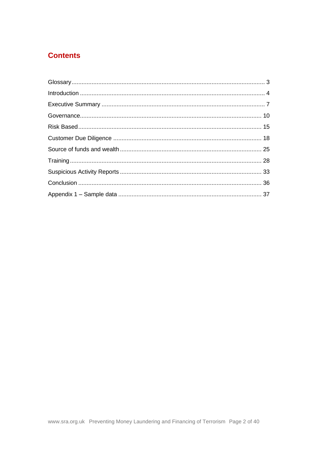#### **Contents**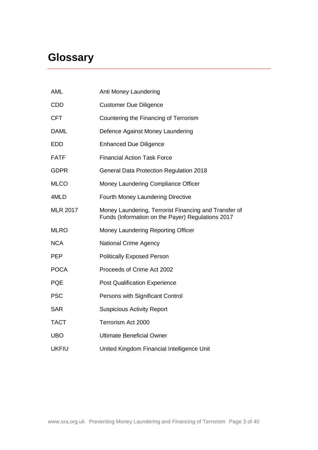# <span id="page-2-0"></span>**Glossary**

| AML             | Anti Money Laundering                                                                                      |
|-----------------|------------------------------------------------------------------------------------------------------------|
| <b>CDD</b>      | <b>Customer Due Diligence</b>                                                                              |
| <b>CFT</b>      | Countering the Financing of Terrorism                                                                      |
| <b>DAML</b>     | Defence Against Money Laundering                                                                           |
| <b>EDD</b>      | <b>Enhanced Due Diligence</b>                                                                              |
| <b>FATF</b>     | <b>Financial Action Task Force</b>                                                                         |
| <b>GDPR</b>     | General Data Protection Regulation 2018                                                                    |
| <b>MLCO</b>     | Money Laundering Compliance Officer                                                                        |
| 4MLD            | Fourth Money Laundering Directive                                                                          |
| <b>MLR 2017</b> | Money Laundering, Terrorist Financing and Transfer of<br>Funds (Information on the Payer) Regulations 2017 |
| <b>MLRO</b>     | Money Laundering Reporting Officer                                                                         |
| <b>NCA</b>      | <b>National Crime Agency</b>                                                                               |
| <b>PEP</b>      | <b>Politically Exposed Person</b>                                                                          |
| <b>POCA</b>     | Proceeds of Crime Act 2002                                                                                 |
| <b>PQE</b>      | <b>Post Qualification Experience</b>                                                                       |
| <b>PSC</b>      | Persons with Significant Control                                                                           |
| <b>SAR</b>      | <b>Suspicious Activity Report</b>                                                                          |
| <b>TACT</b>     | Terrorism Act 2000                                                                                         |
| <b>UBO</b>      | <b>Ultimate Beneficial Owner</b>                                                                           |
| <b>UKFIU</b>    | United Kingdom Financial Intelligence Unit                                                                 |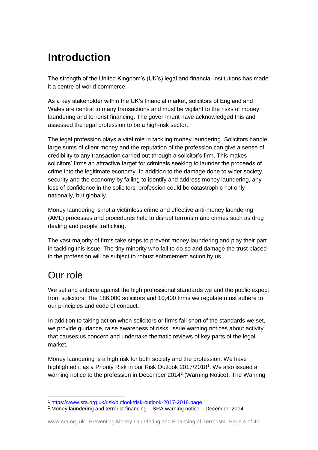# <span id="page-3-0"></span>**Introduction**

The strength of the United Kingdom's (UK's) legal and financial institutions has made it a centre of world commerce.

As a key stakeholder within the UK's financial market, solicitors of England and Wales are central to many transactions and must be vigilant to the risks of money laundering and terrorist financing. The government have acknowledged this and assessed the legal profession to be a high-risk sector.

The legal profession plays a vital role in tackling money laundering. Solicitors handle large sums of client money and the reputation of the profession can give a sense of credibility to any transaction carried out through a solicitor's firm. This makes solicitors' firms an attractive target for criminals seeking to launder the proceeds of crime into the legitimate economy. In addition to the damage done to wider society, security and the economy by failing to identify and address money laundering, any loss of confidence in the solicitors' profession could be catastrophic not only nationally, but globally.

Money laundering is not a victimless crime and effective anti-money laundering (AML) processes and procedures help to disrupt terrorism and crimes such as drug dealing and people trafficking.

The vast majority of firms take steps to prevent money laundering and play their part in tackling this issue. The tiny minority who fail to do so and damage the trust placed in the profession will be subject to robust enforcement action by us.

## Our role

 $\overline{a}$ 

We set and enforce against the high professional standards we and the public expect from solicitors. The 186,000 solicitors and 10,400 firms we regulate must adhere to our principles and code of conduct.

In addition to taking action when solicitors or firms fall short of the standards we set, we provide guidance, raise awareness of risks, issue warning notices about activity that causes us concern and undertake thematic reviews of key parts of the legal market.

Money laundering is a high risk for both society and the profession. We have highlighted it as a Priority Risk in our Risk Outlook 2017/2018<sup>1</sup>. We also issued a warning notice to the profession in December 2014<sup>2</sup> (Warning Notice). The Warning

<sup>1</sup> <https://www.sra.org.uk/risk/outlook/risk-outlook-2017-2018.page>

<sup>2</sup> Money laundering and terrorist financing – SRA warning notice – December 2014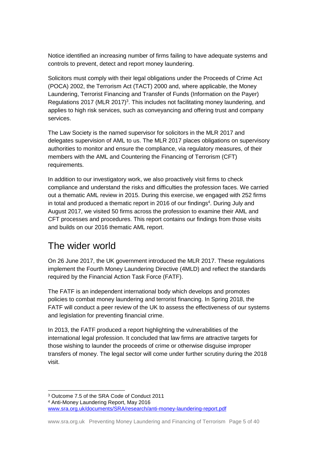Notice identified an increasing number of firms failing to have adequate systems and controls to prevent, detect and report money laundering.

Solicitors must comply with their legal obligations under the Proceeds of Crime Act (POCA) 2002, the Terrorism Act (TACT) 2000 and, where applicable, the Money Laundering, Terrorist Financing and Transfer of Funds (Information on the Payer) Regulations 2017 (MLR 2017)<sup>3</sup>. This includes not facilitating money laundering, and applies to high risk services, such as conveyancing and offering trust and company services.

The Law Society is the named supervisor for solicitors in the MLR 2017 and delegates supervision of AML to us. The MLR 2017 places obligations on supervisory authorities to monitor and ensure the compliance, via regulatory measures, of their members with the AML and Countering the Financing of Terrorism (CFT) requirements.

In addition to our investigatory work, we also proactively visit firms to check compliance and understand the risks and difficulties the profession faces. We carried out a thematic AML review in 2015. During this exercise, we engaged with 252 firms in total and produced a thematic report in 2016 of our findings<sup>4</sup>. During July and August 2017, we visited 50 firms across the profession to examine their AML and CFT processes and procedures. This report contains our findings from those visits and builds on our 2016 thematic AML report.

## The wider world

On 26 June 2017, the UK government introduced the MLR 2017. These regulations implement the Fourth Money Laundering Directive (4MLD) and reflect the standards required by the Financial Action Task Force (FATF).

The FATF is an independent international body which develops and promotes policies to combat money laundering and terrorist financing. In Spring 2018, the FATF will conduct a peer review of the UK to assess the effectiveness of our systems and legislation for preventing financial crime.

In 2013, the FATF produced a report highlighting the vulnerabilities of the international legal profession. It concluded that law firms are attractive targets for those wishing to launder the proceeds of crime or otherwise disguise improper transfers of money. The legal sector will come under further scrutiny during the 2018 visit.

 <sup>3</sup> Outcome 7.5 of the SRA Code of Conduct 2011 <sup>4</sup> Anti-Money Laundering Report, May 2016 [www.sra.org.uk/documents/SRA/research/anti-money-laundering-report.pdf](file:///C:/Users/003681/OneDrive%20-%20The%20Solicitors%20Regulation%20Authority/www.sra.org.uk/documents/SRA/research/anti-money-laundering-report.pdf)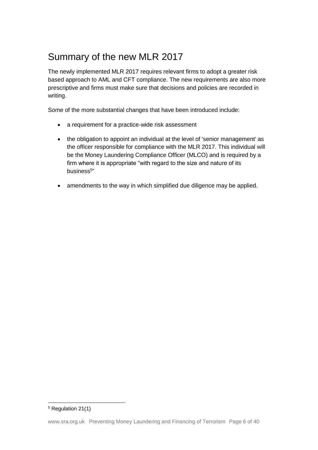## Summary of the new MLR 2017

The newly implemented MLR 2017 requires relevant firms to adopt a greater risk based approach to AML and CFT compliance. The new requirements are also more prescriptive and firms must make sure that decisions and policies are recorded in writing.

Some of the more substantial changes that have been introduced include:

- a requirement for a practice-wide risk assessment
- the obligation to appoint an individual at the level of 'senior management' as the officer responsible for compliance with the MLR 2017. This individual will be the Money Laundering Compliance Officer (MLCO) and is required by a firm where it is appropriate "with regard to the size and nature of its business<sup>5</sup>"
- amendments to the way in which simplified due diligence may be applied.

<sup>5</sup> Regulation 21(1)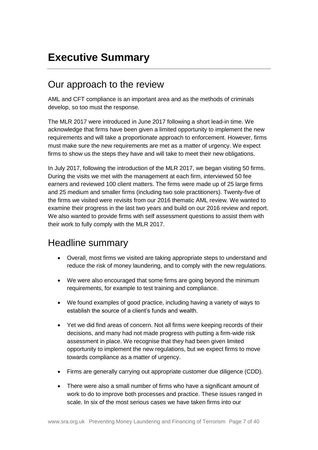# <span id="page-6-0"></span>**Executive Summary**

### Our approach to the review

AML and CFT compliance is an important area and as the methods of criminals develop, so too must the response.

The MLR 2017 were introduced in June 2017 following a short lead-in time. We acknowledge that firms have been given a limited opportunity to implement the new requirements and will take a proportionate approach to enforcement. However, firms must make sure the new requirements are met as a matter of urgency. We expect firms to show us the steps they have and will take to meet their new obligations.

In July 2017, following the introduction of the MLR 2017, we began visiting 50 firms. During the visits we met with the management at each firm, interviewed 50 fee earners and reviewed 100 client matters. The firms were made up of 25 large firms and 25 medium and smaller firms (including two sole practitioners). Twenty-five of the firms we visited were revisits from our 2016 thematic AML review. We wanted to examine their progress in the last two years and build on our 2016 review and report. We also wanted to provide firms with self assessment questions to assist them with their work to fully comply with the MLR 2017.

### Headline summary

- Overall, most firms we visited are taking appropriate steps to understand and reduce the risk of money laundering, and to comply with the new regulations.
- We were also encouraged that some firms are going beyond the minimum requirements, for example to test training and compliance.
- We found examples of good practice, including having a variety of ways to establish the source of a client's funds and wealth.
- Yet we did find areas of concern. Not all firms were keeping records of their decisions, and many had not made progress with putting a firm-wide risk assessment in place. We recognise that they had been given limited opportunity to implement the new regulations, but we expect firms to move towards compliance as a matter of urgency.
- Firms are generally carrying out appropriate customer due diligence (CDD).
- There were also a small number of firms who have a significant amount of work to do to improve both processes and practice. These issues ranged in scale. In six of the most serious cases we have taken firms into our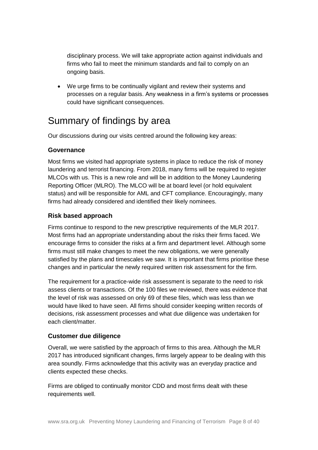disciplinary process. We will take appropriate action against individuals and firms who fail to meet the minimum standards and fail to comply on an ongoing basis.

• We urge firms to be continually vigilant and review their systems and processes on a regular basis. Any weakness in a firm's systems or processes could have significant consequences.

### Summary of findings by area

Our discussions during our visits centred around the following key areas:

#### **Governance**

Most firms we visited had appropriate systems in place to reduce the risk of money laundering and terrorist financing. From 2018, many firms will be required to register MLCOs with us. This is a new role and will be in addition to the Money Laundering Reporting Officer (MLRO). The MLCO will be at board level (or hold equivalent status) and will be responsible for AML and CFT compliance. Encouragingly, many firms had already considered and identified their likely nominees.

#### **Risk based approach**

Firms continue to respond to the new prescriptive requirements of the MLR 2017. Most firms had an appropriate understanding about the risks their firms faced. We encourage firms to consider the risks at a firm and department level. Although some firms must still make changes to meet the new obligations, we were generally satisfied by the plans and timescales we saw. It is important that firms prioritise these changes and in particular the newly required written risk assessment for the firm.

The requirement for a practice-wide risk assessment is separate to the need to risk assess clients or transactions. Of the 100 files we reviewed, there was evidence that the level of risk was assessed on only 69 of these files, which was less than we would have liked to have seen. All firms should consider keeping written records of decisions, risk assessment processes and what due diligence was undertaken for each client/matter.

#### **Customer due diligence**

Overall, we were satisfied by the approach of firms to this area. Although the MLR 2017 has introduced significant changes, firms largely appear to be dealing with this area soundly. Firms acknowledge that this activity was an everyday practice and clients expected these checks.

Firms are obliged to continually monitor CDD and most firms dealt with these requirements well.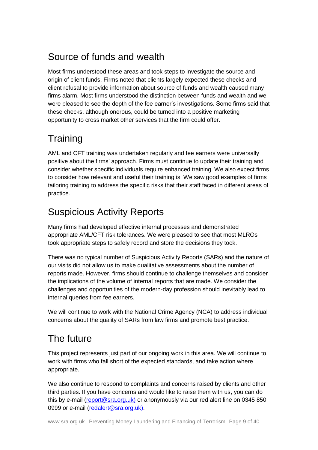## Source of funds and wealth

Most firms understood these areas and took steps to investigate the source and origin of client funds. Firms noted that clients largely expected these checks and client refusal to provide information about source of funds and wealth caused many firms alarm. Most firms understood the distinction between funds and wealth and we were pleased to see the depth of the fee earner's investigations. Some firms said that these checks, although onerous, could be turned into a positive marketing opportunity to cross market other services that the firm could offer.

# **Training**

AML and CFT training was undertaken regularly and fee earners were universally positive about the firms' approach. Firms must continue to update their training and consider whether specific individuals require enhanced training. We also expect firms to consider how relevant and useful their training is. We saw good examples of firms tailoring training to address the specific risks that their staff faced in different areas of practice.

## Suspicious Activity Reports

Many firms had developed effective internal processes and demonstrated appropriate AML/CFT risk tolerances. We were pleased to see that most MLROs took appropriate steps to safely record and store the decisions they took.

There was no typical number of Suspicious Activity Reports (SARs) and the nature of our visits did not allow us to make qualitative assessments about the number of reports made. However, firms should continue to challenge themselves and consider the implications of the volume of internal reports that are made. We consider the challenges and opportunities of the modern-day profession should inevitably lead to internal queries from fee earners.

We will continue to work with the National Crime Agency (NCA) to address individual concerns about the quality of SARs from law firms and promote best practice.

# The future

This project represents just part of our ongoing work in this area. We will continue to work with firms who fall short of the expected standards, and take action where appropriate.

We also continue to respond to complaints and concerns raised by clients and other third parties. If you have concerns and would like to raise them with us, you can do this by e-mail [\(report@sra.org.uk\)](mailto:report@sra.org.uk) or anonymously via our red alert line on 0345 850 0999 or e-mail [\(redalert@sra.org.uk\)](mailto:redalert@sra.org.uk).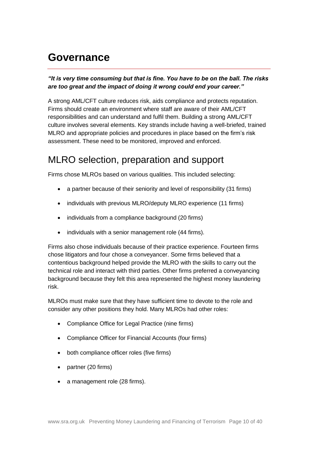## <span id="page-9-0"></span>**Governance**

#### *"It is very time consuming but that is fine. You have to be on the ball. The risks are too great and the impact of doing it wrong could end your career."*

A strong AML/CFT culture reduces risk, aids compliance and protects reputation. Firms should create an environment where staff are aware of their AML/CFT responsibilities and can understand and fulfil them. Building a strong AML/CFT culture involves several elements. Key strands include having a well-briefed, trained MLRO and appropriate policies and procedures in place based on the firm's risk assessment. These need to be monitored, improved and enforced.

### MLRO selection, preparation and support

Firms chose MLROs based on various qualities. This included selecting:

- a partner because of their seniority and level of responsibility (31 firms)
- individuals with previous MLRO/deputy MLRO experience (11 firms)
- individuals from a compliance background (20 firms)
- individuals with a senior management role (44 firms).

Firms also chose individuals because of their practice experience. Fourteen firms chose litigators and four chose a conveyancer. Some firms believed that a contentious background helped provide the MLRO with the skills to carry out the technical role and interact with third parties. Other firms preferred a conveyancing background because they felt this area represented the highest money laundering risk.

MLROs must make sure that they have sufficient time to devote to the role and consider any other positions they hold. Many MLROs had other roles:

- Compliance Office for Legal Practice (nine firms)
- Compliance Officer for Financial Accounts (four firms)
- both compliance officer roles (five firms)
- partner (20 firms)
- a management role (28 firms).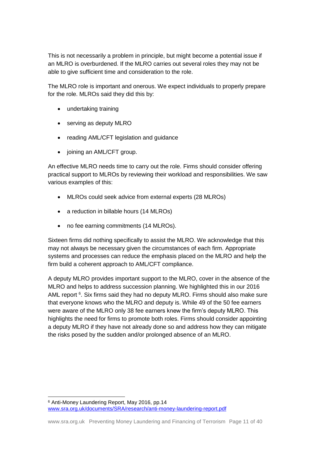This is not necessarily a problem in principle, but might become a potential issue if an MLRO is overburdened. If the MLRO carries out several roles they may not be able to give sufficient time and consideration to the role.

The MLRO role is important and onerous. We expect individuals to properly prepare for the role. MLROs said they did this by:

- undertaking training
- serving as deputy MLRO
- reading AML/CFT legislation and guidance
- joining an AML/CFT group.

An effective MLRO needs time to carry out the role. Firms should consider offering practical support to MLROs by reviewing their workload and responsibilities. We saw various examples of this:

- MLROs could seek advice from external experts (28 MLROs)
- a reduction in billable hours (14 MLROs)
- no fee earning commitments (14 MLROs).

Sixteen firms did nothing specifically to assist the MLRO. We acknowledge that this may not always be necessary given the circumstances of each firm. Appropriate systems and processes can reduce the emphasis placed on the MLRO and help the firm build a coherent approach to AML/CFT compliance.

A deputy MLRO provides important support to the MLRO, cover in the absence of the MLRO and helps to address succession planning. We highlighted this in our 2016 AML report <sup>6</sup>. Six firms said they had no deputy MLRO. Firms should also make sure that everyone knows who the MLRO and deputy is. While 49 of the 50 fee earners were aware of the MLRO only 38 fee earners knew the firm's deputy MLRO. This highlights the need for firms to promote both roles. Firms should consider appointing a deputy MLRO if they have not already done so and address how they can mitigate the risks posed by the sudden and/or prolonged absence of an MLRO.

 $\overline{a}$ 

<sup>6</sup> Anti-Money Laundering Report, May 2016, pp.14 [www.sra.org.uk/documents/SRA/research/anti-money-laundering-report.pdf](file:///C:/Users/003681/OneDrive%20-%20The%20Solicitors%20Regulation%20Authority/www.sra.org.uk/documents/SRA/research/anti-money-laundering-report.pdf)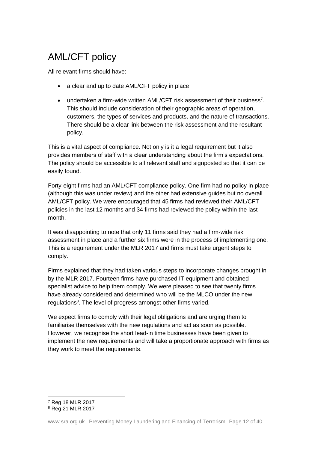# AML/CFT policy

All relevant firms should have:

- a clear and up to date AML/CFT policy in place
- undertaken a firm-wide written AML/CFT risk assessment of their business<sup>7</sup>. This should include consideration of their geographic areas of operation, customers, the types of services and products, and the nature of transactions. There should be a clear link between the risk assessment and the resultant policy.

This is a vital aspect of compliance. Not only is it a legal requirement but it also provides members of staff with a clear understanding about the firm's expectations. The policy should be accessible to all relevant staff and signposted so that it can be easily found.

Forty-eight firms had an AML/CFT compliance policy. One firm had no policy in place (although this was under review) and the other had extensive guides but no overall AML/CFT policy. We were encouraged that 45 firms had reviewed their AML/CFT policies in the last 12 months and 34 firms had reviewed the policy within the last month.

It was disappointing to note that only 11 firms said they had a firm-wide risk assessment in place and a further six firms were in the process of implementing one. This is a requirement under the MLR 2017 and firms must take urgent steps to comply.

Firms explained that they had taken various steps to incorporate changes brought in by the MLR 2017. Fourteen firms have purchased IT equipment and obtained specialist advice to help them comply. We were pleased to see that twenty firms have already considered and determined who will be the MLCO under the new regulations<sup>8</sup>. The level of progress amongst other firms varied.

We expect firms to comply with their legal obligations and are urging them to familiarise themselves with the new regulations and act as soon as possible. However, we recognise the short lead-in time businesses have been given to implement the new requirements and will take a proportionate approach with firms as they work to meet the requirements.

 $\overline{a}$ 

<sup>7</sup> Reg 18 MLR 2017

<sup>8</sup> Reg 21 MLR 2017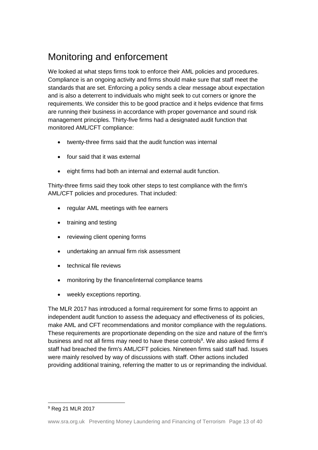### Monitoring and enforcement

We looked at what steps firms took to enforce their AML policies and procedures. Compliance is an ongoing activity and firms should make sure that staff meet the standards that are set. Enforcing a policy sends a clear message about expectation and is also a deterrent to individuals who might seek to cut corners or ignore the requirements. We consider this to be good practice and it helps evidence that firms are running their business in accordance with proper governance and sound risk management principles. Thirty-five firms had a designated audit function that monitored AML/CFT compliance:

- twenty-three firms said that the audit function was internal
- four said that it was external
- eight firms had both an internal and external audit function.

Thirty-three firms said they took other steps to test compliance with the firm's AML/CFT policies and procedures. That included:

- regular AML meetings with fee earners
- training and testing
- reviewing client opening forms
- undertaking an annual firm risk assessment
- technical file reviews
- monitoring by the finance/internal compliance teams
- weekly exceptions reporting.

The MLR 2017 has introduced a formal requirement for some firms to appoint an independent audit function to assess the adequacy and effectiveness of its policies, make AML and CFT recommendations and monitor compliance with the regulations. These requirements are proportionate depending on the size and nature of the firm's business and not all firms may need to have these controls<sup>9</sup>. We also asked firms if staff had breached the firm's AML/CFT policies. Nineteen firms said staff had. Issues were mainly resolved by way of discussions with staff. Other actions included providing additional training, referring the matter to us or reprimanding the individual.

<sup>9</sup> Reg 21 MLR 2017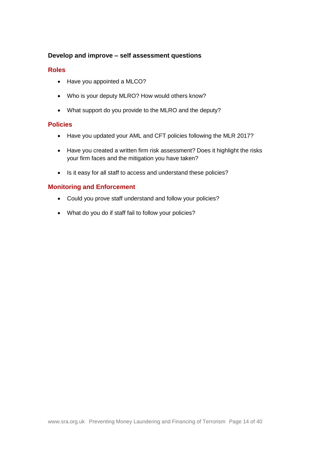#### **Develop and improve – self assessment questions**

#### **Roles**

- Have you appointed a MLCO?
- Who is your deputy MLRO? How would others know?
- What support do you provide to the MLRO and the deputy?

#### **Policies**

- Have you updated your AML and CFT policies following the MLR 2017?
- Have you created a written firm risk assessment? Does it highlight the risks your firm faces and the mitigation you have taken?
- Is it easy for all staff to access and understand these policies?

#### **Monitoring and Enforcement**

- Could you prove staff understand and follow your policies?
- What do you do if staff fail to follow your policies?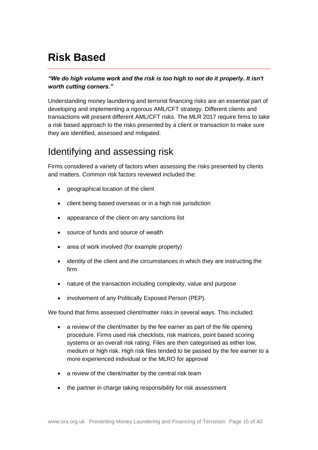# <span id="page-14-0"></span>**Risk Based**

#### *"We do high volume work and the risk is too high to not do it properly. It isn't worth cutting corners."*

Understanding money laundering and terrorist financing risks are an essential part of developing and implementing a rigorous AML/CFT strategy. Different clients and transactions will present different AML/CFT risks. The MLR 2017 require firms to take a risk based approach to the risks presented by a client or transaction to make sure they are identified, assessed and mitigated.

### Identifying and assessing risk

Firms considered a variety of factors when assessing the risks presented by clients and matters. Common risk factors reviewed included the:

- geographical location of the client
- client being based overseas or in a high risk jurisdiction
- appearance of the client on any sanctions list
- source of funds and source of wealth
- area of work involved (for example property)
- identity of the client and the circumstances in which they are instructing the firm
- nature of the transaction including complexity, value and purpose
- involvement of any Politically Exposed Person (PEP).

We found that firms assessed client/matter risks in several ways. This included:

- a review of the client/matter by the fee earner as part of the file opening procedure. Firms used risk checklists, risk matrices, point based scoring systems or an overall risk rating. Files are then categorised as either low, medium or high risk. High risk files tended to be passed by the fee earner to a more experienced individual or the MLRO for approval
- a review of the client/matter by the central risk team
- the partner in charge taking responsibility for risk assessment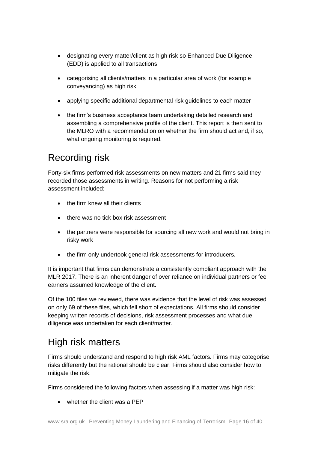- designating every matter/client as high risk so Enhanced Due Diligence (EDD) is applied to all transactions
- categorising all clients/matters in a particular area of work (for example conveyancing) as high risk
- applying specific additional departmental risk guidelines to each matter
- the firm's business acceptance team undertaking detailed research and assembling a comprehensive profile of the client. This report is then sent to the MLRO with a recommendation on whether the firm should act and, if so, what ongoing monitoring is required.

### Recording risk

Forty-six firms performed risk assessments on new matters and 21 firms said they recorded those assessments in writing. Reasons for not performing a risk assessment included:

- the firm knew all their clients
- there was no tick box risk assessment
- the partners were responsible for sourcing all new work and would not bring in risky work
- the firm only undertook general risk assessments for introducers.

It is important that firms can demonstrate a consistently compliant approach with the MLR 2017. There is an inherent danger of over reliance on individual partners or fee earners assumed knowledge of the client.

Of the 100 files we reviewed, there was evidence that the level of risk was assessed on only 69 of these files, which fell short of expectations. All firms should consider keeping written records of decisions, risk assessment processes and what due diligence was undertaken for each client/matter.

# High risk matters

Firms should understand and respond to high risk AML factors. Firms may categorise risks differently but the rational should be clear. Firms should also consider how to mitigate the risk.

Firms considered the following factors when assessing if a matter was high risk:

• whether the client was a PFP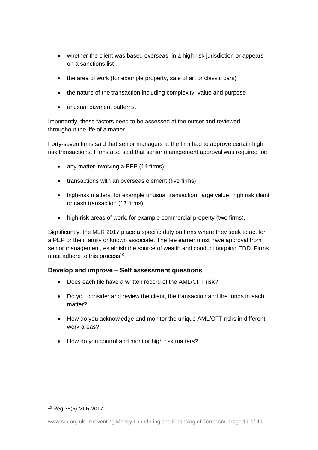- whether the client was based overseas, in a high risk jurisdiction or appears on a sanctions list
- the area of work (for example property, sale of art or classic cars)
- the nature of the transaction including complexity, value and purpose
- unusual payment patterns.

Importantly, these factors need to be assessed at the outset and reviewed throughout the life of a matter.

Forty-seven firms said that senior managers at the firm had to approve certain high risk transactions. Firms also said that senior management approval was required for:

- any matter involving a PEP (14 firms)
- transactions with an overseas element (five firms)
- high-risk matters, for example unusual transaction, large value, high risk client or cash transaction (17 firms)
- high risk areas of work, for example commercial property (two firms).

Significantly, the MLR 2017 place a specific duty on firms where they seek to act for a PEP or their family or known associate. The fee earner must have approval from senior management, establish the source of wealth and conduct ongoing EDD. Firms must adhere to this process $^{10}$ .

#### **Develop and improve – Self assessment questions**

- Does each file have a written record of the AML/CFT risk?
- Do you consider and review the client, the transaction and the funds in each matter?
- How do you acknowledge and monitor the unique AML/CFT risks in different work areas?
- How do you control and monitor high risk matters?

 <sup>10</sup> Reg 35(5) MLR 2017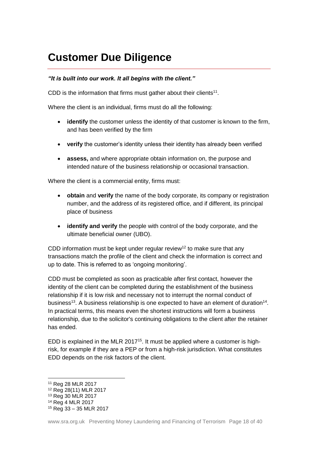# <span id="page-17-0"></span>**Customer Due Diligence**

#### *"It is built into our work. It all begins with the client."*

CDD is the information that firms must gather about their clients<sup>11</sup>.

Where the client is an individual, firms must do all the following:

- *identify* the customer unless the identity of that customer is known to the firm, and has been verified by the firm
- **verify** the customer's identity unless their identity has already been verified
- **assess,** and where appropriate obtain information on, the purpose and intended nature of the business relationship or occasional transaction.

Where the client is a commercial entity, firms must:

- **obtain** and **verify** the name of the body corporate, its company or registration number, and the address of its registered office, and if different, its principal place of business
- **identify and verify** the people with control of the body corporate, and the ultimate beneficial owner (UBO).

CDD information must be kept under regular review<sup>12</sup> to make sure that any transactions match the profile of the client and check the information is correct and up to date. This is referred to as 'ongoing monitoring'.

CDD must be completed as soon as practicable after first contact, however the identity of the client can be completed during the establishment of the business relationship if it is low risk and necessary not to interrupt the normal conduct of business<sup>13</sup>. A business relationship is one expected to have an element of duration<sup>14</sup>. In practical terms, this means even the shortest instructions will form a business relationship, due to the solicitor's continuing obligations to the client after the retainer has ended.

EDD is explained in the MLR 2017<sup>15</sup>. It must be applied where a customer is highrisk, for example if they are a PEP or from a high-risk jurisdiction. What constitutes EDD depends on the risk factors of the client.

 $\overline{a}$ 

<sup>11</sup> Reg 28 MLR 2017

<sup>12</sup> Reg 28(11) MLR 2017

<sup>13</sup> Reg 30 MLR 2017

<sup>14</sup> Reg 4 MLR 2017

<sup>15</sup> Reg 33 – 35 MLR 2017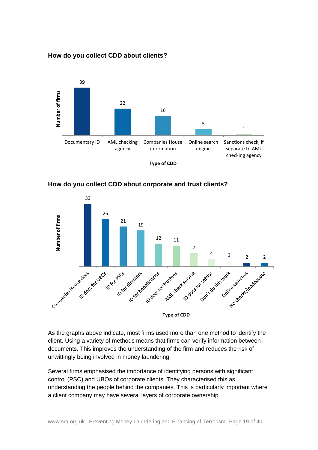#### **How do you collect CDD about clients?**







As the graphs above indicate, most firms used more than one method to identify the client. Using a variety of methods means that firms can verify information between documents. This improves the understanding of the firm and reduces the risk of unwittingly being involved in money laundering.

Several firms emphasised the importance of identifying persons with significant control (PSC) and UBOs of corporate clients. They characterised this as understanding the people behind the companies. This is particularly important where a client company may have several layers of corporate ownership.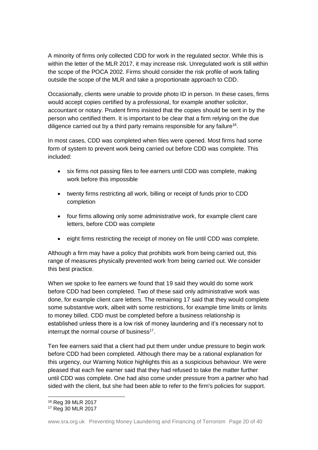A minority of firms only collected CDD for work in the regulated sector. While this is within the letter of the MLR 2017, it may increase risk. Unregulated work is still within the scope of the POCA 2002. Firms should consider the risk profile of work falling outside the scope of the MLR and take a proportionate approach to CDD.

Occasionally, clients were unable to provide photo ID in person. In these cases, firms would accept copies certified by a professional, for example another solicitor, accountant or notary. Prudent firms insisted that the copies should be sent in by the person who certified them. It is important to be clear that a firm relying on the due diligence carried out by a third party remains responsible for any failure<sup>16</sup>.

In most cases, CDD was completed when files were opened. Most firms had some form of system to prevent work being carried out before CDD was complete. This included:

- six firms not passing files to fee earners until CDD was complete, making work before this impossible
- twenty firms restricting all work, billing or receipt of funds prior to CDD completion
- four firms allowing only some administrative work, for example client care letters, before CDD was complete
- eight firms restricting the receipt of money on file until CDD was complete.

Although a firm may have a policy that prohibits work from being carried out, this range of measures physically prevented work from being carried out. We consider this best practice.

When we spoke to fee earners we found that 19 said they would do some work before CDD had been completed. Two of these said only administrative work was done, for example client care letters. The remaining 17 said that they would complete some substantive work, albeit with some restrictions, for example time limits or limits to money billed. CDD must be completed before a business relationship is established unless there is a low risk of money laundering and it's necessary not to interrupt the normal course of business<sup>17</sup>.

Ten fee earners said that a client had put them under undue pressure to begin work before CDD had been completed. Although there may be a rational explanation for this urgency, our Warning Notice highlights this as a suspicious behaviour. We were pleased that each fee earner said that they had refused to take the matter further until CDD was complete. One had also come under pressure from a partner who had sided with the client, but she had been able to refer to the firm's policies for support.

 $\overline{a}$ <sup>16</sup> Reg 39 MLR 2017

<sup>17</sup> Reg 30 MLR 2017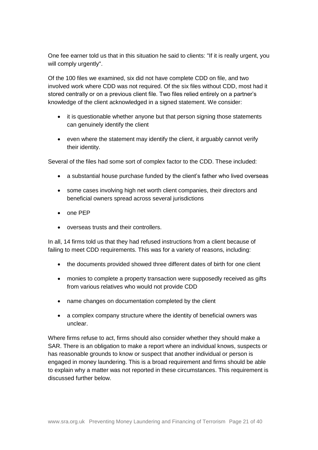One fee earner told us that in this situation he said to clients: "If it is really urgent, you will comply urgently".

Of the 100 files we examined, six did not have complete CDD on file, and two involved work where CDD was not required. Of the six files without CDD, most had it stored centrally or on a previous client file. Two files relied entirely on a partner's knowledge of the client acknowledged in a signed statement. We consider:

- it is questionable whether anyone but that person signing those statements can genuinely identify the client
- even where the statement may identify the client, it arguably cannot verify their identity.

Several of the files had some sort of complex factor to the CDD. These included:

- a substantial house purchase funded by the client's father who lived overseas
- some cases involving high net worth client companies, their directors and beneficial owners spread across several jurisdictions
- one PEP
- overseas trusts and their controllers.

In all, 14 firms told us that they had refused instructions from a client because of failing to meet CDD requirements. This was for a variety of reasons, including:

- the documents provided showed three different dates of birth for one client
- monies to complete a property transaction were supposedly received as gifts from various relatives who would not provide CDD
- name changes on documentation completed by the client
- a complex company structure where the identity of beneficial owners was unclear.

Where firms refuse to act, firms should also consider whether they should make a SAR. There is an obligation to make a report where an individual knows, suspects or has reasonable grounds to know or suspect that another individual or person is engaged in money laundering. This is a broad requirement and firms should be able to explain why a matter was not reported in these circumstances. This requirement is discussed further below.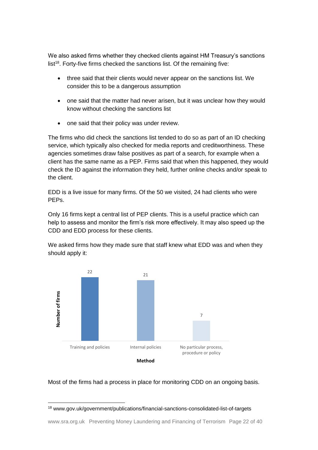We also asked firms whether they checked clients against HM Treasury's sanctions list<sup>18</sup>. Forty-five firms checked the sanctions list. Of the remaining five:

- three said that their clients would never appear on the sanctions list. We consider this to be a dangerous assumption
- one said that the matter had never arisen, but it was unclear how they would know without checking the sanctions list
- one said that their policy was under review.

The firms who did check the sanctions list tended to do so as part of an ID checking service, which typically also checked for media reports and creditworthiness. These agencies sometimes draw false positives as part of a search, for example when a client has the same name as a PEP. Firms said that when this happened, they would check the ID against the information they held, further online checks and/or speak to the client.

EDD is a live issue for many firms. Of the 50 we visited, 24 had clients who were PEPs.

Only 16 firms kept a central list of PEP clients. This is a useful practice which can help to assess and monitor the firm's risk more effectively. It may also speed up the CDD and EDD process for these clients.

We asked firms how they made sure that staff knew what EDD was and when they should apply it:



#### Most of the firms had a process in place for monitoring CDD on an ongoing basis.

 <sup>18</sup> www.gov.uk/government/publications/financial-sanctions-consolidated-list-of-targets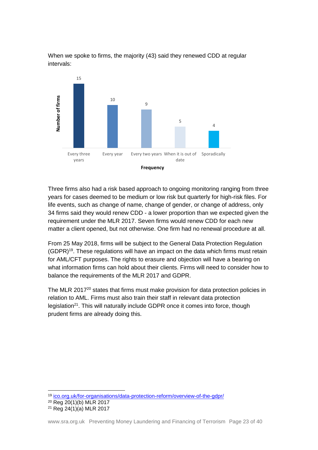

When we spoke to firms, the majority (43) said they renewed CDD at regular intervals:

Three firms also had a risk based approach to ongoing monitoring ranging from three years for cases deemed to be medium or low risk but quarterly for high-risk files. For life events, such as change of name, change of gender, or change of address, only 34 firms said they would renew CDD - a lower proportion than we expected given the requirement under the MLR 2017. Seven firms would renew CDD for each new matter a client opened, but not otherwise. One firm had no renewal procedure at all.

From 25 May 2018, firms will be subject to the General Data Protection Regulation (GDPR)<sup>19</sup>. These regulations will have an impact on the data which firms must retain for AML/CFT purposes. The rights to erasure and objection will have a bearing on what information firms can hold about their clients. Firms will need to consider how to balance the requirements of the MLR 2017 and GDPR.

The MLR 2017<sup>20</sup> states that firms must make provision for data protection policies in relation to AML. Firms must also train their staff in relevant data protection legislation<sup>21</sup>. This will naturally include GDPR once it comes into force, though prudent firms are already doing this.

 <sup>19</sup> [ico.org.uk/for-organisations/data-protection-reform/overview-of-the-gdpr/](https://ico.org.uk/for-organisations/data-protection-reform/overview-of-the-gdpr/)

<sup>20</sup> Reg 20(1)(b) MLR 2017

 $21$  Reg 24(1)(a) MLR 2017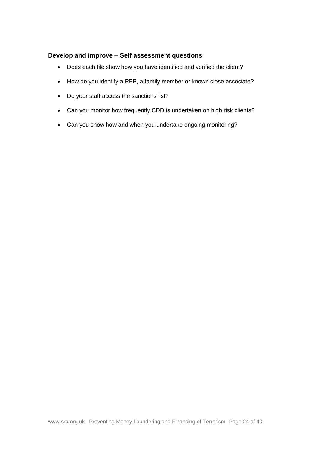#### **Develop and improve – Self assessment questions**

- Does each file show how you have identified and verified the client?
- How do you identify a PEP, a family member or known close associate?
- Do your staff access the sanctions list?
- Can you monitor how frequently CDD is undertaken on high risk clients?
- Can you show how and when you undertake ongoing monitoring?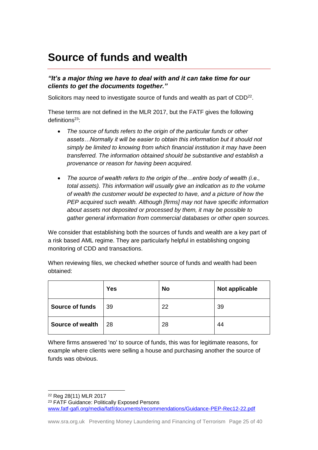# <span id="page-24-0"></span>**Source of funds and wealth**

#### *"It's a major thing we have to deal with and it can take time for our clients to get the documents together."*

Solicitors may need to investigate source of funds and wealth as part of CDD<sup>22</sup>.

These terms are not defined in the MLR 2017, but the FATF gives the following definitions<sup>23</sup>:

- *The source of funds refers to the origin of the particular funds or other assets…Normally it will be easier to obtain this information but it should not simply be limited to knowing from which financial institution it may have been transferred. The information obtained should be substantive and establish a provenance or reason for having been acquired.*
- *The source of wealth refers to the origin of the…entire body of wealth (i.e., total assets). This information will usually give an indication as to the volume of wealth the customer would be expected to have, and a picture of how the PEP acquired such wealth. Although [firms] may not have specific information about assets not deposited or processed by them, it may be possible to gather general information from commercial databases or other open sources.*

We consider that establishing both the sources of funds and wealth are a key part of a risk based AML regime. They are particularly helpful in establishing ongoing monitoring of CDD and transactions.

When reviewing files, we checked whether source of funds and wealth had been obtained:

|                         | <b>Yes</b> | <b>No</b> | Not applicable |
|-------------------------|------------|-----------|----------------|
| <b>Source of funds</b>  | 39         | 22        | 39             |
| <b>Source of wealth</b> | 28         | 28        | 44             |

Where firms answered 'no' to source of funds, this was for legitimate reasons, for example where clients were selling a house and purchasing another the source of funds was obvious.

 <sup>22</sup> Reg 28(11) MLR 2017

<sup>&</sup>lt;sup>23</sup> FATF Guidance: Politically Exposed Persons [www.fatf-gafi.org/media/fatf/documents/recommendations/Guidance-PEP-Rec12-22.pdf](file:///C:/Users/003681/OneDrive%20-%20The%20Solicitors%20Regulation%20Authority/www.fatf-gafi.org/media/fatf/documents/recommendations/Guidance-PEP-Rec12-22.pdf)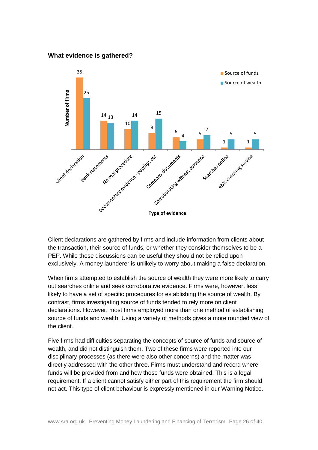#### **What evidence is gathered?**



Client declarations are gathered by firms and include information from clients about the transaction, their source of funds, or whether they consider themselves to be a PEP. While these discussions can be useful they should not be relied upon exclusively. A money launderer is unlikely to worry about making a false declaration.

When firms attempted to establish the source of wealth they were more likely to carry out searches online and seek corroborative evidence. Firms were, however, less likely to have a set of specific procedures for establishing the source of wealth. By contrast, firms investigating source of funds tended to rely more on client declarations. However, most firms employed more than one method of establishing source of funds and wealth. Using a variety of methods gives a more rounded view of the client.

Five firms had difficulties separating the concepts of source of funds and source of wealth, and did not distinguish them. Two of these firms were reported into our disciplinary processes (as there were also other concerns) and the matter was directly addressed with the other three. Firms must understand and record where funds will be provided from and how those funds were obtained. This is a legal requirement. If a client cannot satisfy either part of this requirement the firm should not act. This type of client behaviour is expressly mentioned in our Warning Notice.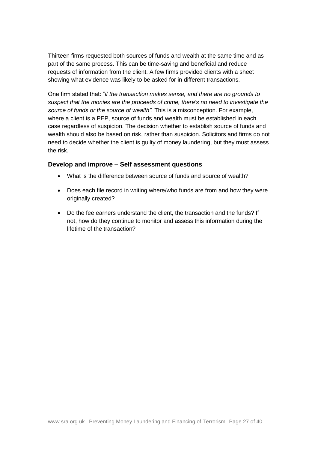Thirteen firms requested both sources of funds and wealth at the same time and as part of the same process. This can be time-saving and beneficial and reduce requests of information from the client. A few firms provided clients with a sheet showing what evidence was likely to be asked for in different transactions.

One firm stated that: "*if the transaction makes sense, and there are no grounds to suspect that the monies are the proceeds of crime, there's no need to investigate the source of funds or the source of wealth"*. This is a misconception. For example, where a client is a PEP, source of funds and wealth must be established in each case regardless of suspicion. The decision whether to establish source of funds and wealth should also be based on risk, rather than suspicion. Solicitors and firms do not need to decide whether the client is guilty of money laundering, but they must assess the risk.

#### **Develop and improve – Self assessment questions**

- What is the difference between source of funds and source of wealth?
- Does each file record in writing where/who funds are from and how they were originally created?
- Do the fee earners understand the client, the transaction and the funds? If not, how do they continue to monitor and assess this information during the lifetime of the transaction?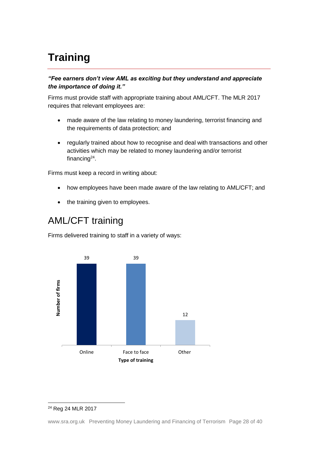# <span id="page-27-0"></span>**Training**

#### *"Fee earners don't view AML as exciting but they understand and appreciate the importance of doing it."*

Firms must provide staff with appropriate training about AML/CFT. The MLR 2017 requires that relevant employees are:

- made aware of the law relating to money laundering, terrorist financing and the requirements of data protection; and
- regularly trained about how to recognise and deal with transactions and other activities which may be related to money laundering and/or terrorist financing<sup>24</sup>.

Firms must keep a record in writing about:

- how employees have been made aware of the law relating to AML/CFT; and
- the training given to employees.

### AML/CFT training

Firms delivered training to staff in a variety of ways:



#### <sup>24</sup> Reg 24 MLR 2017

www.sra.org.uk Preventing Money Laundering and Financing of Terrorism Page 28 of 40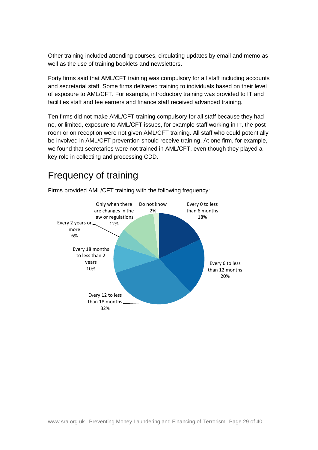Other training included attending courses, circulating updates by email and memo as well as the use of training booklets and newsletters.

Forty firms said that AML/CFT training was compulsory for all staff including accounts and secretarial staff. Some firms delivered training to individuals based on their level of exposure to AML/CFT. For example, introductory training was provided to IT and facilities staff and fee earners and finance staff received advanced training.

Ten firms did not make AML/CFT training compulsory for all staff because they had no, or limited, exposure to AML/CFT issues, for example staff working in IT, the post room or on reception were not given AML/CFT training. All staff who could potentially be involved in AML/CFT prevention should receive training. At one firm, for example, we found that secretaries were not trained in AML/CFT, even though they played a key role in collecting and processing CDD.

### Frequency of training



Firms provided AML/CFT training with the following frequency: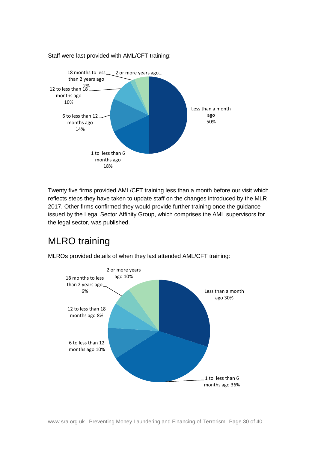

Staff were last provided with AML/CFT training:

Twenty five firms provided AML/CFT training less than a month before our visit which reflects steps they have taken to update staff on the changes introduced by the MLR 2017. Other firms confirmed they would provide further training once the guidance issued by the Legal Sector Affinity Group, which comprises the AML supervisors for the legal sector, was published.

## MLRO training



MLROs provided details of when they last attended AML/CFT training: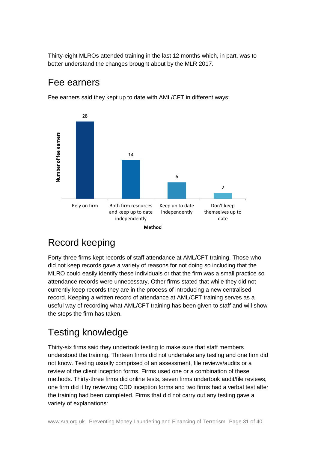Thirty-eight MLROs attended training in the last 12 months which, in part, was to better understand the changes brought about by the MLR 2017.

### Fee earners

Fee earners said they kept up to date with AML/CFT in different ways:



## Record keeping

Forty-three firms kept records of staff attendance at AML/CFT training. Those who did not keep records gave a variety of reasons for not doing so including that the MLRO could easily identify these individuals or that the firm was a small practice so attendance records were unnecessary. Other firms stated that while they did not currently keep records they are in the process of introducing a new centralised record. Keeping a written record of attendance at AML/CFT training serves as a useful way of recording what AML/CFT training has been given to staff and will show the steps the firm has taken.

## Testing knowledge

Thirty-six firms said they undertook testing to make sure that staff members understood the training. Thirteen firms did not undertake any testing and one firm did not know. Testing usually comprised of an assessment, file reviews/audits or a review of the client inception forms. Firms used one or a combination of these methods. Thirty-three firms did online tests, seven firms undertook audit/file reviews, one firm did it by reviewing CDD inception forms and two firms had a verbal test after the training had been completed. Firms that did not carry out any testing gave a variety of explanations: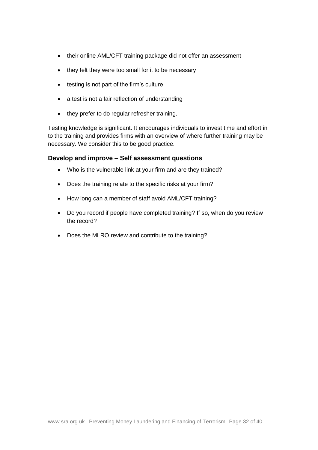- their online AML/CFT training package did not offer an assessment
- they felt they were too small for it to be necessary
- testing is not part of the firm's culture
- a test is not a fair reflection of understanding
- they prefer to do regular refresher training.

Testing knowledge is significant. It encourages individuals to invest time and effort in to the training and provides firms with an overview of where further training may be necessary. We consider this to be good practice.

#### **Develop and improve – Self assessment questions**

- Who is the vulnerable link at your firm and are they trained?
- Does the training relate to the specific risks at your firm?
- How long can a member of staff avoid AML/CFT training?
- Do you record if people have completed training? If so, when do you review the record?
- Does the MLRO review and contribute to the training?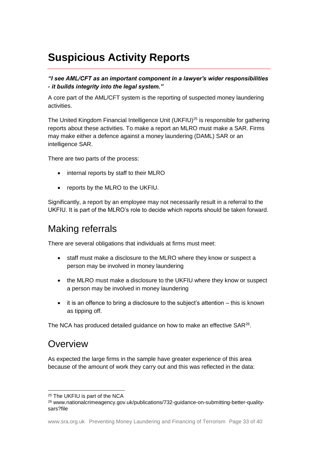# <span id="page-32-0"></span>**Suspicious Activity Reports**

*"I see AML/CFT as an important component in a lawyer's wider responsibilities - it builds integrity into the legal system."*

A core part of the AML/CFT system is the reporting of suspected money laundering activities.

The United Kingdom Financial Intelligence Unit (UKFIU)<sup>25</sup> is responsible for gathering reports about these activities. To make a report an MLRO must make a SAR. Firms may make either a defence against a money laundering (DAML) SAR or an intelligence SAR.

There are two parts of the process:

- internal reports by staff to their MLRO
- reports by the MLRO to the UKFIU.

Significantly, a report by an employee may not necessarily result in a referral to the UKFIU. It is part of the MLRO's role to decide which reports should be taken forward.

### Making referrals

There are several obligations that individuals at firms must meet:

- staff must make a disclosure to the MLRO where they know or suspect a person may be involved in money laundering
- the MLRO must make a disclosure to the UKFIU where they know or suspect a person may be involved in money laundering
- it is an offence to bring a disclosure to the subject's attention this is known as tipping off.

The NCA has produced detailed guidance on how to make an effective SAR<sup>26</sup>.

### **Overview**

As expected the large firms in the sample have greater experience of this area because of the amount of work they carry out and this was reflected in the data:

<sup>25</sup> The UKFIU is part of the NCA

<sup>26</sup> www.nationalcrimeagency.gov.uk/publications/732-guidance-on-submitting-better-qualitysars?file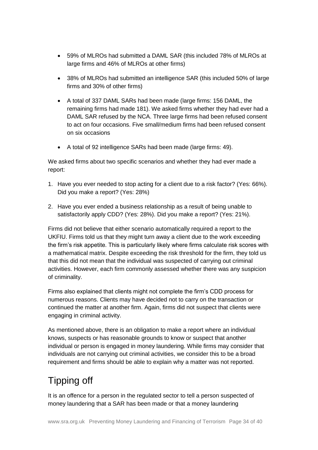- 59% of MLROs had submitted a DAML SAR (this included 78% of MLROs at large firms and 46% of MLROs at other firms)
- 38% of MLROs had submitted an intelligence SAR (this included 50% of large firms and 30% of other firms)
- A total of 337 DAML SARs had been made (large firms: 156 DAML, the remaining firms had made 181). We asked firms whether they had ever had a DAML SAR refused by the NCA. Three large firms had been refused consent to act on four occasions. Five small/medium firms had been refused consent on six occasions
- A total of 92 intelligence SARs had been made (large firms: 49).

We asked firms about two specific scenarios and whether they had ever made a report:

- 1. Have you ever needed to stop acting for a client due to a risk factor? (Yes: 66%). Did you make a report? (Yes: 28%)
- 2. Have you ever ended a business relationship as a result of being unable to satisfactorily apply CDD? (Yes: 28%). Did you make a report? (Yes: 21%).

Firms did not believe that either scenario automatically required a report to the UKFIU. Firms told us that they might turn away a client due to the work exceeding the firm's risk appetite. This is particularly likely where firms calculate risk scores with a mathematical matrix. Despite exceeding the risk threshold for the firm, they told us that this did not mean that the individual was suspected of carrying out criminal activities. However, each firm commonly assessed whether there was any suspicion of criminality.

Firms also explained that clients might not complete the firm's CDD process for numerous reasons. Clients may have decided not to carry on the transaction or continued the matter at another firm. Again, firms did not suspect that clients were engaging in criminal activity.

As mentioned above, there is an obligation to make a report where an individual knows, suspects or has reasonable grounds to know or suspect that another individual or person is engaged in money laundering. While firms may consider that individuals are not carrying out criminal activities, we consider this to be a broad requirement and firms should be able to explain why a matter was not reported.

# Tipping off

It is an offence for a person in the regulated sector to tell a person suspected of money laundering that a SAR has been made or that a money laundering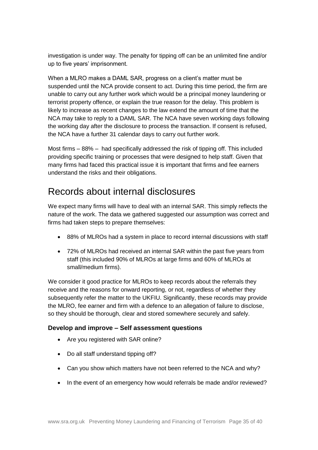investigation is under way. The penalty for tipping off can be an unlimited fine and/or up to five years' imprisonment.

When a MLRO makes a DAML SAR, progress on a client's matter must be suspended until the NCA provide consent to act. During this time period, the firm are unable to carry out any further work which would be a principal money laundering or terrorist property offence, or explain the true reason for the delay. This problem is likely to increase as recent changes to the law extend the amount of time that the NCA may take to reply to a DAML SAR. The NCA have seven working days following the working day after the disclosure to process the transaction. If consent is refused, the NCA have a further 31 calendar days to carry out further work.

Most firms – 88% – had specifically addressed the risk of tipping off. This included providing specific training or processes that were designed to help staff. Given that many firms had faced this practical issue it is important that firms and fee earners understand the risks and their obligations.

### Records about internal disclosures

We expect many firms will have to deal with an internal SAR. This simply reflects the nature of the work. The data we gathered suggested our assumption was correct and firms had taken steps to prepare themselves:

- 88% of MLROs had a system in place to record internal discussions with staff
- 72% of MLROs had received an internal SAR within the past five years from staff (this included 90% of MLROs at large firms and 60% of MLROs at small/medium firms).

We consider it good practice for MLROs to keep records about the referrals they receive and the reasons for onward reporting, or not, regardless of whether they subsequently refer the matter to the UKFIU. Significantly, these records may provide the MLRO, fee earner and firm with a defence to an allegation of failure to disclose, so they should be thorough, clear and stored somewhere securely and safely.

#### **Develop and improve – Self assessment questions**

- Are you registered with SAR online?
- Do all staff understand tipping off?
- Can you show which matters have not been referred to the NCA and why?
- In the event of an emergency how would referrals be made and/or reviewed?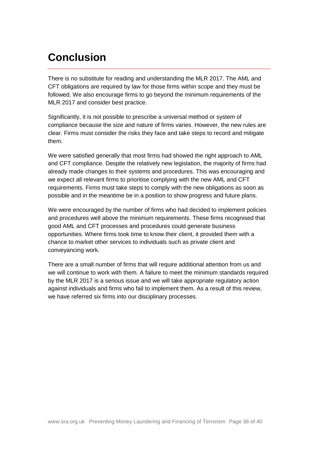# <span id="page-35-0"></span>**Conclusion**

There is no substitute for reading and understanding the MLR 2017. The AML and CFT obligations are required by law for those firms within scope and they must be followed. We also encourage firms to go beyond the minimum requirements of the MLR 2017 and consider best practice.

Significantly, it is not possible to prescribe a universal method or system of compliance because the size and nature of firms varies. However, the new rules are clear. Firms must consider the risks they face and take steps to record and mitigate them.

We were satisfied generally that most firms had showed the right approach to AML and CFT compliance. Despite the relatively new legislation, the majority of firms had already made changes to their systems and procedures. This was encouraging and we expect all relevant firms to prioritise complying with the new AML and CFT requirements. Firms must take steps to comply with the new obligations as soon as possible and in the meantime be in a position to show progress and future plans.

We were encouraged by the number of firms who had decided to implement policies and procedures well above the minimum requirements. These firms recognised that good AML and CFT processes and procedures could generate business opportunities. Where firms took time to know their client, it provided them with a chance to market other services to individuals such as private client and conveyancing work.

There are a small number of firms that will require additional attention from us and we will continue to work with them. A failure to meet the minimum standards required by the MLR 2017 is a serious issue and we will take appropriate regulatory action against individuals and firms who fail to implement them. As a result of this review, we have referred six firms into our disciplinary processes.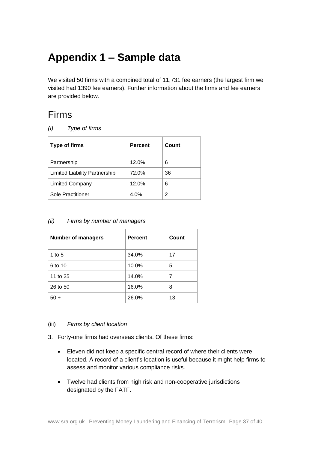# <span id="page-36-0"></span>**Appendix 1 – Sample data**

We visited 50 firms with a combined total of 11,731 fee earners (the largest firm we visited had 1390 fee earners). Further information about the firms and fee earners are provided below.

### Firms

*(i) Type of firms*

| <b>Type of firms</b>                 | <b>Percent</b> | Count |
|--------------------------------------|----------------|-------|
| Partnership                          | 12.0%          | 6     |
| <b>Limited Liability Partnership</b> | 72.0%          | 36    |
| <b>Limited Company</b>               | 12.0%          | 6     |
| Sole Practitioner                    | 4.0%           | 2     |

#### *(ii) Firms by number of managers*

| <b>Number of managers</b> | <b>Percent</b> | Count |
|---------------------------|----------------|-------|
| 1 to 5                    | 34.0%          | 17    |
| 6 to 10                   | 10.0%          | 5     |
| 11 to 25                  | 14.0%          | 7     |
| 26 to 50                  | 16.0%          | 8     |
| $50 +$                    | 26.0%          | 13    |

#### (iii) *Firms by client location*

- 3. Forty-one firms had overseas clients. Of these firms:
	- Eleven did not keep a specific central record of where their clients were located. A record of a client's location is useful because it might help firms to assess and monitor various compliance risks.
	- Twelve had clients from high risk and non-cooperative jurisdictions designated by the FATF.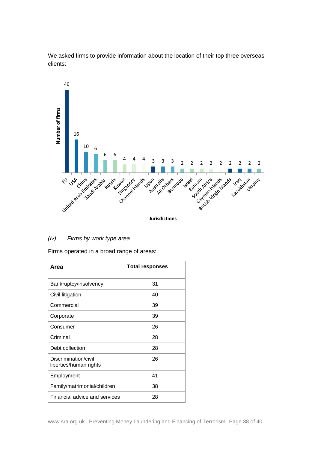

We asked firms to provide information about the location of their top three overseas clients:

#### *(iv) Firms by work type area*

Firms operated in a broad range of areas:

| Area                                           | <b>Total responses</b> |
|------------------------------------------------|------------------------|
| Bankruptcy/insolvency                          | 31                     |
| Civil litigation                               | 40                     |
| Commercial                                     | 39                     |
| Corporate                                      | 39                     |
| Consumer                                       | 26                     |
| Criminal                                       | 28                     |
| Debt collection                                | 28                     |
| Discrimination/civil<br>liberties/human rights | 26                     |
| Employment                                     | 41                     |
| Family/matrimonial/children                    | 38                     |
| Financial advice and services                  | 28                     |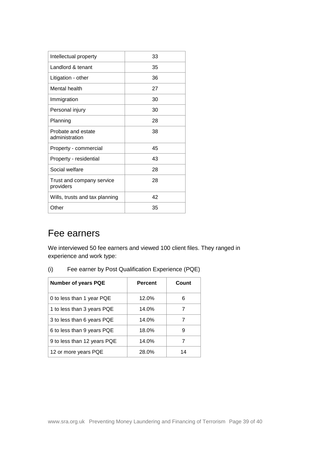| Intellectual property                  | 33 |
|----------------------------------------|----|
| Landlord & tenant                      | 35 |
| Litigation - other                     | 36 |
| Mental health                          | 27 |
| Immigration                            | 30 |
| Personal injury                        | 30 |
| Planning                               | 28 |
| Probate and estate<br>administration   | 38 |
| Property - commercial                  | 45 |
| Property - residential                 | 43 |
| Social welfare                         | 28 |
| Trust and company service<br>providers | 28 |
| Wills, trusts and tax planning         | 42 |
| Other                                  | 35 |

### Fee earners

We interviewed 50 fee earners and viewed 100 client files. They ranged in experience and work type:

| (i) | Fee earner by Post Qualification Experience (PQE) |  |
|-----|---------------------------------------------------|--|
|-----|---------------------------------------------------|--|

| <b>Number of years PQE</b>  | <b>Percent</b> | Count |
|-----------------------------|----------------|-------|
| 0 to less than 1 year PQE   | 12.0%          | 6     |
| 1 to less than 3 years PQE  | 14.0%          |       |
| 3 to less than 6 years PQE  | 14.0%          |       |
| 6 to less than 9 years PQE  | 18.0%          | 9     |
| 9 to less than 12 years PQE | 14.0%          |       |
| 12 or more years PQE        | 28.0%          | 14    |